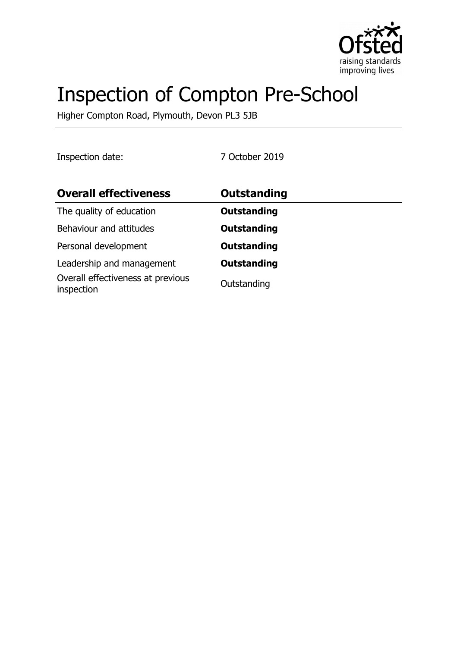

# Inspection of Compton Pre-School

Higher Compton Road, Plymouth, Devon PL3 5JB

Inspection date: 7 October 2019

| <b>Overall effectiveness</b>                    | <b>Outstanding</b> |
|-------------------------------------------------|--------------------|
| The quality of education                        | <b>Outstanding</b> |
| Behaviour and attitudes                         | <b>Outstanding</b> |
| Personal development                            | <b>Outstanding</b> |
| Leadership and management                       | <b>Outstanding</b> |
| Overall effectiveness at previous<br>inspection | Outstanding        |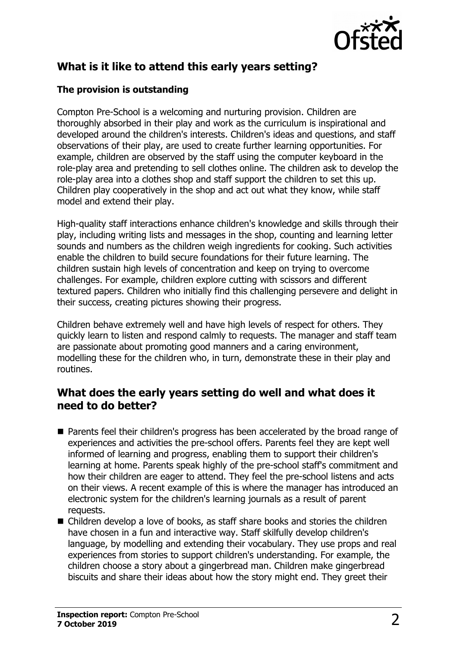

## **What is it like to attend this early years setting?**

#### **The provision is outstanding**

Compton Pre-School is a welcoming and nurturing provision. Children are thoroughly absorbed in their play and work as the curriculum is inspirational and developed around the children's interests. Children's ideas and questions, and staff observations of their play, are used to create further learning opportunities. For example, children are observed by the staff using the computer keyboard in the role-play area and pretending to sell clothes online. The children ask to develop the role-play area into a clothes shop and staff support the children to set this up. Children play cooperatively in the shop and act out what they know, while staff model and extend their play.

High-quality staff interactions enhance children's knowledge and skills through their play, including writing lists and messages in the shop, counting and learning letter sounds and numbers as the children weigh ingredients for cooking. Such activities enable the children to build secure foundations for their future learning. The children sustain high levels of concentration and keep on trying to overcome challenges. For example, children explore cutting with scissors and different textured papers. Children who initially find this challenging persevere and delight in their success, creating pictures showing their progress.

Children behave extremely well and have high levels of respect for others. They quickly learn to listen and respond calmly to requests. The manager and staff team are passionate about promoting good manners and a caring environment, modelling these for the children who, in turn, demonstrate these in their play and routines.

### **What does the early years setting do well and what does it need to do better?**

- Parents feel their children's progress has been accelerated by the broad range of experiences and activities the pre-school offers. Parents feel they are kept well informed of learning and progress, enabling them to support their children's learning at home. Parents speak highly of the pre-school staff's commitment and how their children are eager to attend. They feel the pre-school listens and acts on their views. A recent example of this is where the manager has introduced an electronic system for the children's learning journals as a result of parent requests.
- $\blacksquare$  Children develop a love of books, as staff share books and stories the children have chosen in a fun and interactive way. Staff skilfully develop children's language, by modelling and extending their vocabulary. They use props and real experiences from stories to support children's understanding. For example, the children choose a story about a gingerbread man. Children make gingerbread biscuits and share their ideas about how the story might end. They greet their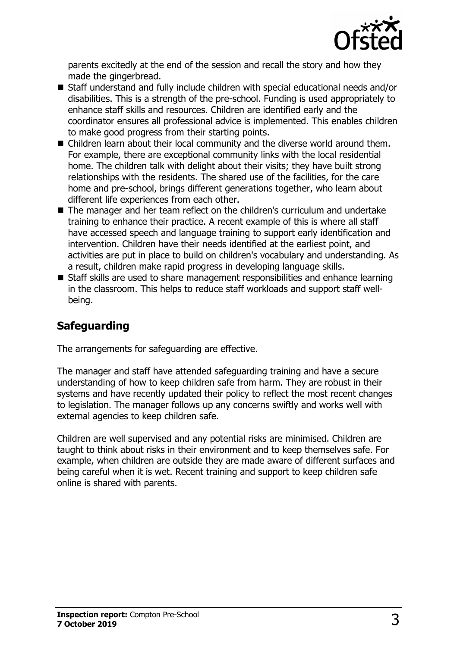

parents excitedly at the end of the session and recall the story and how they made the gingerbread.

- Staff understand and fully include children with special educational needs and/or disabilities. This is a strength of the pre-school. Funding is used appropriately to enhance staff skills and resources. Children are identified early and the coordinator ensures all professional advice is implemented. This enables children to make good progress from their starting points.
- $\blacksquare$  Children learn about their local community and the diverse world around them. For example, there are exceptional community links with the local residential home. The children talk with delight about their visits; they have built strong relationships with the residents. The shared use of the facilities, for the care home and pre-school, brings different generations together, who learn about different life experiences from each other.
- The manager and her team reflect on the children's curriculum and undertake training to enhance their practice. A recent example of this is where all staff have accessed speech and language training to support early identification and intervention. Children have their needs identified at the earliest point, and activities are put in place to build on children's vocabulary and understanding. As a result, children make rapid progress in developing language skills.
- Staff skills are used to share management responsibilities and enhance learning in the classroom. This helps to reduce staff workloads and support staff wellbeing.

# **Safeguarding**

The arrangements for safeguarding are effective.

The manager and staff have attended safeguarding training and have a secure understanding of how to keep children safe from harm. They are robust in their systems and have recently updated their policy to reflect the most recent changes to legislation. The manager follows up any concerns swiftly and works well with external agencies to keep children safe.

Children are well supervised and any potential risks are minimised. Children are taught to think about risks in their environment and to keep themselves safe. For example, when children are outside they are made aware of different surfaces and being careful when it is wet. Recent training and support to keep children safe online is shared with parents.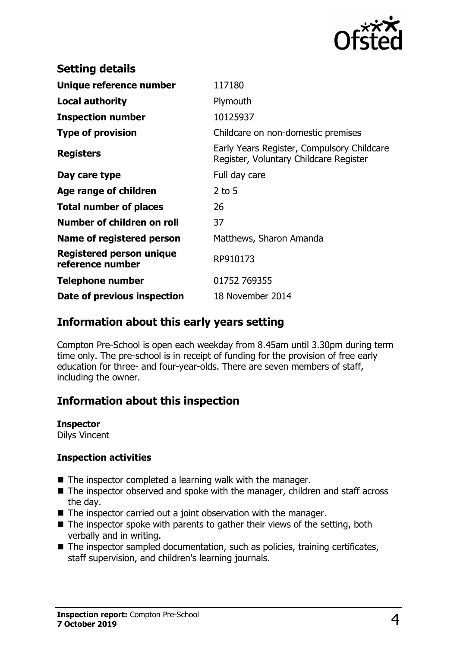

| <b>Setting details</b>                              |                                                                                      |
|-----------------------------------------------------|--------------------------------------------------------------------------------------|
| Unique reference number                             | 117180                                                                               |
| Local authority                                     | Plymouth                                                                             |
| <b>Inspection number</b>                            | 10125937                                                                             |
| <b>Type of provision</b>                            | Childcare on non-domestic premises                                                   |
| <b>Registers</b>                                    | Early Years Register, Compulsory Childcare<br>Register, Voluntary Childcare Register |
| Day care type                                       | Full day care                                                                        |
| Age range of children                               | $2$ to 5                                                                             |
| <b>Total number of places</b>                       | 26                                                                                   |
| Number of children on roll                          | 37                                                                                   |
| Name of registered person                           | Matthews, Sharon Amanda                                                              |
| <b>Registered person unique</b><br>reference number | RP910173                                                                             |
| <b>Telephone number</b>                             | 01752 769355                                                                         |
| Date of previous inspection                         | 18 November 2014                                                                     |

## **Information about this early years setting**

Compton Pre-School is open each weekday from 8.45am until 3.30pm during term time only. The pre-school is in receipt of funding for the provision of free early education for three- and four-year-olds. There are seven members of staff, including the owner.

## **Information about this inspection**

**Inspector**

Dilys Vincent

#### **Inspection activities**

- $\blacksquare$  The inspector completed a learning walk with the manager.
- $\blacksquare$  The inspector observed and spoke with the manager, children and staff across the day.
- $\blacksquare$  The inspector carried out a joint observation with the manager.
- $\blacksquare$  The inspector spoke with parents to gather their views of the setting, both verbally and in writing.
- $\blacksquare$  The inspector sampled documentation, such as policies, training certificates, staff supervision, and children's learning journals.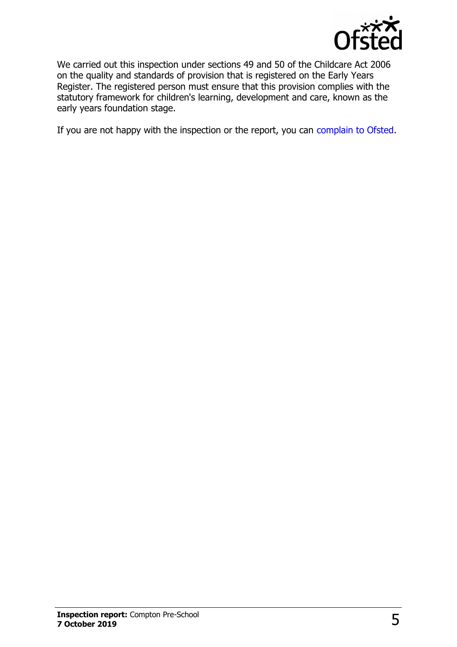

We carried out this inspection under sections 49 and 50 of the Childcare Act 2006 on the quality and standards of provision that is registered on the Early Years Register. The registered person must ensure that this provision complies with the statutory framework for children's learning, development and care, known as the early years foundation stage.

If you are not happy with the inspection or the report, you can [complain to Ofsted.](http://www.gov.uk/complain-ofsted-report)